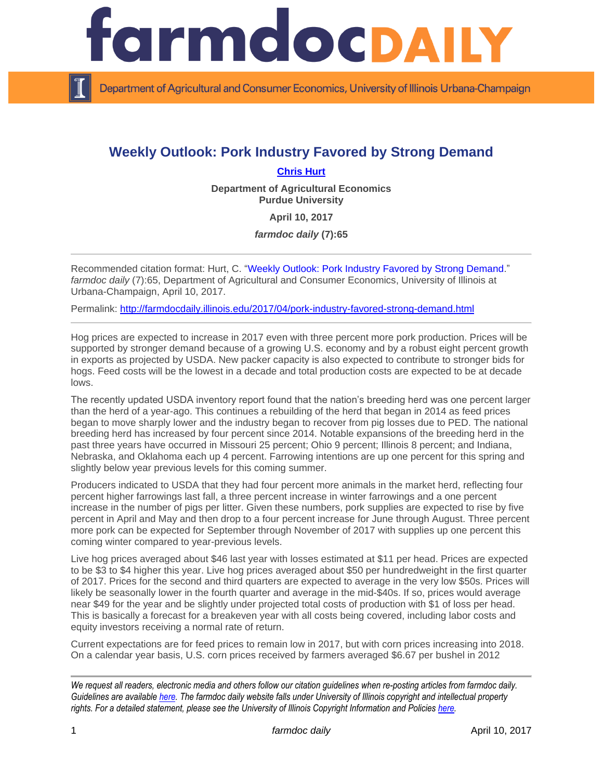

Department of Agricultural and Consumer Economics, University of Illinois Urbana-Champaign

## **Weekly Outlook: Pork Industry Favored by Strong Demand**

## **[Chris Hurt](https://ag.purdue.edu/agecon/Pages/Profile.aspx?strAlias=hurtc)**

**Department of Agricultural Economics Purdue University**

**April 10, 2017**

*farmdoc daily* **(7):65**

Recommended citation format: Hurt, C. ["Weekly Outlook: Pork Industry Favored by Strong Demand.](http://farmdocdaily.illinois.edu/2017/04/pork-industry-favored-strong-demand.html)" *farmdoc daily* (7):65, Department of Agricultural and Consumer Economics, University of Illinois at Urbana-Champaign, April 10, 2017.

Permalink: <http://farmdocdaily.illinois.edu/2017/04/pork-industry-favored-strong-demand.html>

Hog prices are expected to increase in 2017 even with three percent more pork production. Prices will be supported by stronger demand because of a growing U.S. economy and by a robust eight percent growth in exports as projected by USDA. New packer capacity is also expected to contribute to stronger bids for hogs. Feed costs will be the lowest in a decade and total production costs are expected to be at decade lows.

The recently updated USDA inventory report found that the nation's breeding herd was one percent larger than the herd of a year-ago. This continues a rebuilding of the herd that began in 2014 as feed prices began to move sharply lower and the industry began to recover from pig losses due to PED. The national breeding herd has increased by four percent since 2014. Notable expansions of the breeding herd in the past three years have occurred in Missouri 25 percent; Ohio 9 percent; Illinois 8 percent; and Indiana, Nebraska, and Oklahoma each up 4 percent. Farrowing intentions are up one percent for this spring and slightly below year previous levels for this coming summer.

Producers indicated to USDA that they had four percent more animals in the market herd, reflecting four percent higher farrowings last fall, a three percent increase in winter farrowings and a one percent increase in the number of pigs per litter. Given these numbers, pork supplies are expected to rise by five percent in April and May and then drop to a four percent increase for June through August. Three percent more pork can be expected for September through November of 2017 with supplies up one percent this coming winter compared to year-previous levels.

Live hog prices averaged about \$46 last year with losses estimated at \$11 per head. Prices are expected to be \$3 to \$4 higher this year. Live hog prices averaged about \$50 per hundredweight in the first quarter of 2017. Prices for the second and third quarters are expected to average in the very low \$50s. Prices will likely be seasonally lower in the fourth quarter and average in the mid-\$40s. If so, prices would average near \$49 for the year and be slightly under projected total costs of production with \$1 of loss per head. This is basically a forecast for a breakeven year with all costs being covered, including labor costs and equity investors receiving a normal rate of return.

Current expectations are for feed prices to remain low in 2017, but with corn prices increasing into 2018. On a calendar year basis, U.S. corn prices received by farmers averaged \$6.67 per bushel in 2012

*We request all readers, electronic media and others follow our citation guidelines when re-posting articles from farmdoc daily. Guidelines are available [here.](http://farmdocdaily.illinois.edu/citationguide.html) The farmdoc daily website falls under University of Illinois copyright and intellectual property rights. For a detailed statement, please see the University of Illinois Copyright Information and Policies [here.](http://www.cio.illinois.edu/policies/copyright/)*